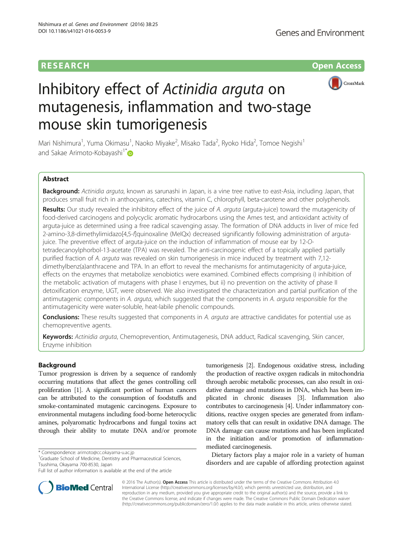# RESEARCH **RESEARCH CHOOSE ACCESS**



# Inhibitory effect of Actinidia arguta on mutagenesis, inflammation and two-stage mouse skin tumorigenesis

Mari Nishimura<sup>1</sup>, Yuma Okimasu<sup>1</sup>, Naoko Miyake<sup>2</sup>, Misako Tada<sup>2</sup>, Ryoko Hida<sup>2</sup>, Tomoe Negishi<sup>1</sup> and Sakae Arimoto-Kobayashi<sup>1[\\*](http://orcid.org/0000-0001-8909-7774)</sup>

# Abstract

Background: Actinidia arguta, known as sarunashi in Japan, is a vine tree native to east-Asia, including Japan, that produces small fruit rich in anthocyanins, catechins, vitamin C, chlorophyll, beta-carotene and other polyphenols.

Results: Our study revealed the inhibitory effect of the juice of A. arguta (arguta-juice) toward the mutagenicity of food-derived carcinogens and polycyclic aromatic hydrocarbons using the Ames test, and antioxidant activity of arguta-juice as determined using a free radical scavenging assay. The formation of DNA adducts in liver of mice fed 2-amino-3,8-dimethylimidazo[4,5-f]quinoxaline (MeIQx) decreased significantly following administration of argutajuice. The preventive effect of arguta-juice on the induction of inflammation of mouse ear by 12-Otetradecanoylphorbol-13-acetate (TPA) was revealed. The anti-carcinogenic effect of a topically applied partially purified fraction of A. arguta was revealed on skin tumorigenesis in mice induced by treatment with 7,12 dimethylbenz(a)anthracene and TPA. In an effort to reveal the mechanisms for antimutagenicity of arguta-juice, effects on the enzymes that metabolize xenobiotics were examined. Combined effects comprising i) inhibition of the metabolic activation of mutagens with phase I enzymes, but ii) no prevention on the activity of phase II detoxification enzyme, UGT, were observed. We also investigated the characterization and partial purification of the antimutagenic components in A. arguta, which suggested that the components in A. arguta responsible for the antimutagenicity were water-soluble, heat-labile phenolic compounds.

**Conclusions:** These results suggested that components in A. arguta are attractive candidates for potential use as chemopreventive agents.

Keywords: Actinidia arguta, Chemoprevention, Antimutagenesis, DNA adduct, Radical scavenging, Skin cancer, Enzyme inhibition

## Background

Tumor progression is driven by a sequence of randomly occurring mutations that affect the genes controlling cell proliferation [[1](#page-11-0)]. A significant portion of human cancers can be attributed to the consumption of foodstuffs and smoke-contaminated mutagenic carcinogens. Exposure to environmental mutagens including food-borne heterocyclic amines, polyaromatic hydrocarbons and fungal toxins act through their ability to mutate DNA and/or promote

<sup>1</sup>Graduate School of Medicine, Dentistry and Pharmaceutical Sciences, Tsushima, Okayama 700-8530, Japan

tumorigenesis [\[2\]](#page-11-0). Endogenous oxidative stress, including the production of reactive oxygen radicals in mitochondria through aerobic metabolic processes, can also result in oxidative damage and mutations in DNA, which has been implicated in chronic diseases [\[3](#page-11-0)]. Inflammation also contributes to carcinogenesis [[4](#page-11-0)]. Under inflammatory conditions, reactive oxygen species are generated from inflammatory cells that can result in oxidative DNA damage. The DNA damage can cause mutations and has been implicated in the initiation and/or promotion of inflammationmediated carcinogenesis.

Dietary factors play a major role in a variety of human disorders and are capable of affording protection against



© 2016 The Author(s). Open Access This article is distributed under the terms of the Creative Commons Attribution 4.0 International License [\(http://creativecommons.org/licenses/by/4.0/](http://creativecommons.org/licenses/by/4.0/)), which permits unrestricted use, distribution, and reproduction in any medium, provided you give appropriate credit to the original author(s) and the source, provide a link to the Creative Commons license, and indicate if changes were made. The Creative Commons Public Domain Dedication waiver [\(http://creativecommons.org/publicdomain/zero/1.0/](http://creativecommons.org/publicdomain/zero/1.0/)) applies to the data made available in this article, unless otherwise stated.

<sup>\*</sup> Correspondence: [arimoto@cc.okayama-u.ac.jp](mailto:arimoto@cc.okayama-u.ac.jp) <sup>1</sup>

Full list of author information is available at the end of the article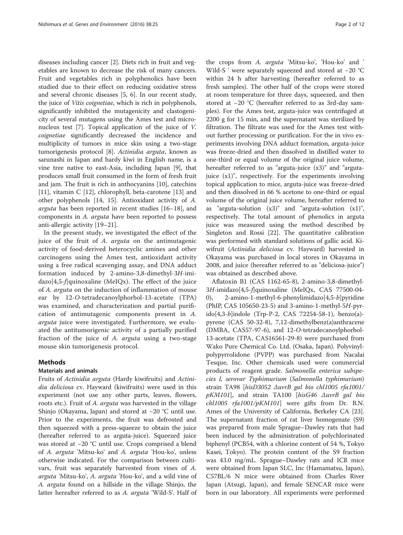diseases including cancer [[2](#page-11-0)]. Diets rich in fruit and vegetables are known to decrease the risk of many cancers. Fruit and vegetables rich in polyphenolics have been studied due to their effect on reducing oxidative stress and several chronic diseases [\[5](#page-11-0), [6](#page-11-0)]. In our recent study, the juice of Vitis coignetiae, which is rich in polyphenols, significantly inhibited the mutagenicity and clastogenicity of several mutagens using the Ames test and micronucleus test [[7\]](#page-11-0). Topical application of the juice of V. coignetiae significantly decreased the incidence and multiplicity of tumors in mice skin using a two-stage tumorigenesis protocol [[8\]](#page-11-0). Actinidia arguta, known as sarunashi in Japan and hardy kiwi in English name, is a vine tree native to east-Asia, including Japan [\[9](#page-11-0)], that produces small fruit consumed in the form of fresh fruit and jam. The fruit is rich in anthocyanins [\[10](#page-11-0)], catechins [[11\]](#page-11-0), vitamin C [\[12\]](#page-11-0), chlorophyll, beta-carotene [\[13\]](#page-11-0) and other polyphenols [[14](#page-11-0), [15\]](#page-11-0). Antioxidant activity of A. arguta has been reported in recent studies [\[16](#page-11-0)–[18\]](#page-11-0), and components in A. arguta have been reported to possess anti-allergic activity [\[19](#page-11-0)–[21\]](#page-11-0).

In the present study, we investigated the effect of the juice of the fruit of A. arguta on the antimutagenic activity of food-derived heterocyclic amines and other carcinogens using the Ames test, antioxidant activity using a free radical scavenging assay, and DNA adduct formation induced by 2-amino-3,8-dimethyl-3H-imi $d$ azo[4,5-*f*]quinoxaline (MeIQx). The effect of the juice of A. arguta on the induction of inflammation of mouse ear by 12-O-tetradecanoylphorbol-13-acetate (TPA) was examined, and characterization and partial purification of antimutagenic components present in A. arguta juice were investigated. Furthermore, we evaluated the antitumorigenic activity of a partially purified fraction of the juice of A. arguta using a two-stage mouse skin tumorigenesis protocol.

#### Methods

#### Materials and animals

Fruits of Actinidia arguta (Hardy kiwifruits) and Actinidia deliciosa cv. Hayward (kiwifruits) were used in this experiment (not use any other parts, leaves, flowers, roots etc.). Fruit of A. arguta was harvested in the village Shinjo (Okayama, Japan) and stored at −20 °C until use. Prior to the experiments, the fruit was defrosted and then squeezed with a press-squeeze to obtain the juice (hereafter referred to as arguta-juice). Squeezed juice was stored at −20 °C until use. Crops comprised a blend of A. arguta 'Mitsu-ko' and A. arguta 'Hou-ko', unless otherwise indicated. For the comparison between cultivars, fruit was separately harvested from vines of A. arguta 'Mitsu-ko', A. arguta 'Hou-ko', and a wild vine of A. arguta found on a hillside in the village Shinjo, the latter hereafter referred to as A. arguta 'Wild-S'. Half of

the crops from A. arguta 'Mitsu-ko', 'Hou-ko' and ' Wild-S ' were separately squeezed and stored at −20 °C within 24 h after harvesting (hereafter referred to as fresh samples). The other half of the crops were stored at room temperature for three days, squeezed, and then stored at −20 °C (hereafter referred to as 3rd-day samples). For the Ames test, arguta-juice was centrifuged at 2200 g for 15 min, and the supernatant was sterilized by filtration. The filtrate was used for the Ames test without further processing or purification. For the in vivo experiments involving DNA adduct formation, arguta-juice was freeze-dried and then dissolved in distilled water to one-third or equal volume of the original juice volume, hereafter referred to as "arguta-juice (x3)" and "argutajuice (x1)", respectively. For the experiments involving topical application to mice, arguta-juice was freeze-dried and then dissolved in 66 % acetone to one-third or equal volume of the original juice volume, hereafter referred to as "arguta-solution  $(x3)$ " and "arguta-solution  $(x1)$ ", respectively. The total amount of phenolics in arguta juice was measured using the method described by Singleton and Rossi [\[22\]](#page-11-0). The quantitative calibration was performed with standard solutions of gallic acid. Kiwifruit (Actinidia deliciosa cv. Hayward) harvested in Okayama was purchased in local stores in Okayama in 2008, and juice (hereafter referred to as "deliciosa-juice") was obtained as described above.

Aflatoxin B1 (CAS 1162-65-8), 2-amino-3,8-dimethyl-3H-imidazo[4,5-f]quinoxaline (MeIQx, CAS 77500-04- 0), 2-amino-1-methyl-6-phenylimidazo[4,5-b]pyridine (PhIP, CAS 105650-23-5) and 3-amino-1-methyl-5H-pyrido[4,3-b]indole (Trp-P-2, CAS 72254-58-1), benzo(a) pyrene (CAS 50-32-8), 7,12-dimethylbenz(a)anthracene (DMBA, CAS57-97-6), and 12-O-tetradecanoylphorbol-13-acetate (TPA, CAS16561-29-8) were purchased from Wako Pure Chemical Co. Ltd. (Osaka, Japan). Polyvinylpolypyrrolidone (PVPP) was purchased from Nacalai Tesque, Inc. Other chemicals used were commercial products of reagent grade. Salmonella enterica subspecies I, serovar Typhimurium (Salmonella typhimurium) strain TA98 [hisD3052 ΔuvrB gal bio chl1005 rfa1001/ pKM101], and strain TA100 [hisG46 ΔuvrB gal bio  $ch1005$  rfa1001/pKM101] were gifts from Dr. B.N. Ames of the University of California, Berkeley CA [\[23](#page-11-0)]. The supernatant fraction of rat liver homogenate (S9) was prepared from male Sprague–Dawley rats that had been induced by the administration of polychlorinated biphenyl (PCB54, with a chlorine content of 54 %, Tokyo Kasei, Tokyo). The protein content of the S9 fraction was 43.0 mg/mL. Sprague–Dawley rats and ICR mice were obtained from Japan SLC, Inc (Hamamatsu, Japan), C57BL/6 N mice were obtained from Charles River Japan (Atsugi, Japan), and female SENCAR mice were born in our laboratory. All experiments were performed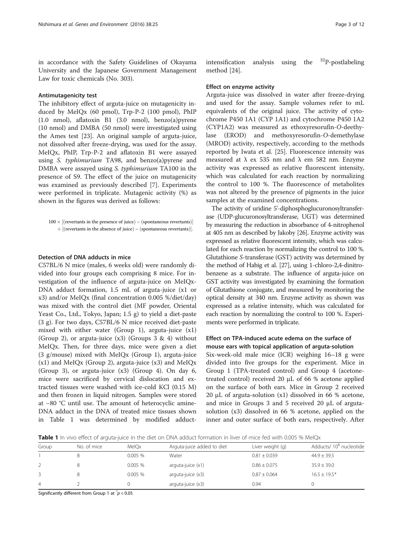<span id="page-2-0"></span>in accordance with the Safety Guidelines of Okayama University and the Japanese Government Management Law for toxic chemicals (No. 303).

#### Antimutagenicity test

The inhibitory effect of arguta-juice on mutagenicity induced by MeIQx (60 pmol), Trp-P-2 (100 pmol), PhIP (1.0 nmol), aflatoxin B1 (3.0 nmol), benzo(a)pyrene (10 nmol) and DMBA (50 nmol) were investigated using the Ames test [\[23](#page-11-0)]. An original sample of arguta-juice, not dissolved after freeze-drying, was used for the assay. MeIQx, PhIP, Trp-P-2 and aflatoxin B1 were assayed using S. typhimurium TA98, and benzo(a)pyrene and DMBA were assayed using S. typhimurium TA100 in the presence of S9. The effect of the juice on mutagenicity was examined as previously described [[7\]](#page-11-0). Experiments were performed in triplicate. Mutagenic activity (%) as shown in the figures was derived as follows:

#### Detection of DNA adducts in mice

C57BL/6 N mice (males, 6 weeks old) were randomly divided into four groups each comprising 8 mice. For investigation of the influence of arguta-juice on MeIQx-DNA adduct formation, 1.5 mL of arguta-juice (x1 or x3) and/or MeIQx (final concentration 0.005 %/diet/day) was mixed with the control diet (MF powder, Oriental Yeast Co., Ltd., Tokyo, Japan; 1.5 g) to yield a diet-paste (3 g). For two days, C57BL/6 N mice received diet-paste mixed with either water (Group 1), arguta-juice (x1) (Group 2), or arguta-juice  $(x3)$  (Groups 3 & 4) without MeIQx. Then, for three days, mice were given a diet (3 g/mouse) mixed with MeIQx (Group 1), arguta-juice  $(x1)$  and MeIQx (Group 2), arguta-juice  $(x3)$  and MeIQx (Group 3), or arguta-juice (x3) (Group 4). On day 6, mice were sacrificed by cervical dislocation and extracted tissues were washed with ice-cold KCl (0.15 M) and then frozen in liquid nitrogen. Samples were stored at −80 °C until use. The amount of heterocyclic amine-DNA adduct in the DNA of treated mice tissues shown in Table 1 was determined by modified adduct-

intensification analysis using the  $32P$ -postlabeling method [\[24](#page-11-0)].

#### Effect on enzyme activity

Arguta-juice was dissolved in water after freeze-drying and used for the assay. Sample volumes refer to mL equivalents of the original juice. The activity of cytochrome P450 1A1 (CYP 1A1) and cytochrome P450 1A2 (CYP1A2) was measured as ethoxyresorufin-O-deethylase (EROD) and methoxyresorufin-O-demethylase (MROD) activity, respectively, according to the methods reported by Iwata et al. [\[25](#page-11-0)]. Fluorescence intensity was measured at  $\lambda$  ex 535 nm and  $\lambda$  em 582 nm. Enzyme activity was expressed as relative fluorescent intensity, which was calculated for each reaction by normalizing the control to 100 %. The fluorescence of metabolites was not altered by the presence of pigments in the juice samples at the examined concentrations.

The activity of uridine 5'-diphosphoglucuronosyltransferase (UDP-glucuronosyltransferase, UGT) was determined by measuring the reduction in absorbance of 4-nitrophenol at 405 nm as described by Jakoby [\[26\]](#page-11-0). Enzyme activity was expressed as relative fluorescent intensity, which was calculated for each reaction by normalizing the control to 100 %. Glutathione S-transferase (GST) activity was determined by the method of Habig et al. [[27](#page-11-0)], using 1-chloro-2,4-dinitrobenzene as a substrate. The influence of arguta-juice on GST activity was investigated by examining the formation of Glutathione conjugate, and measured by monitoring the optical density at 340 nm. Enzyme activity as shown was expressed as a relative intensity, which was calculated for each reaction by normalizing the control to 100 %. Experiments were performed in triplicate.

# Effect on TPA-induced acute edema on the surface of mouse ears with topical application of arguta-solution

Six-week-old male mice (ICR) weighing 16–18 g were divided into five groups for the experiment. Mice in Group 1 (TPA-treated control) and Group 4 (acetonetreated control) received 20 μL of 66 % acetone applied on the surface of both ears. Mice in Group 2 received 20 μL of arguta-solution (x1) dissolved in 66 % acetone, and mice in Groups 3 and 5 received 20 μL of argutasolution (x3) dissolved in 66 % acetone, applied on the inner and outer surface of both ears, respectively. After

Table 1 In vivo effect of arguta-juice in the diet on DNA adduct formation in liver of mice fed with 0.005 % MeIQx

| Group          | No. of mice | MelOx  | Arguta-juice added to diet | Liver weight (g) | Adducts/10 <sup>8</sup> nucleotide |
|----------------|-------------|--------|----------------------------|------------------|------------------------------------|
|                |             | 0.005% | Water                      | $0.81 \pm 0.039$ | $44.9 + 39.5$                      |
|                |             | 0.005% | $arguta$ -juice $(x1)$     | $0.86 + 0.075$   | $35.9 + 39.0$                      |
|                |             | 0.005% | arguta-juice (x3)          | $0.87 \pm 0.064$ | $16.5 + 19.5*$                     |
| $\overline{4}$ |             |        | arguta-juice (x3)          | 0.94             |                                    |

Significantly different from Group 1 at  $\check{~}p$  < 0.05

 $100 \times [(reverts in the presence of juice) - (spontaneous revertants)]$  $\div$  [(revertants in the absence of juice) – (spontaneous revertants)].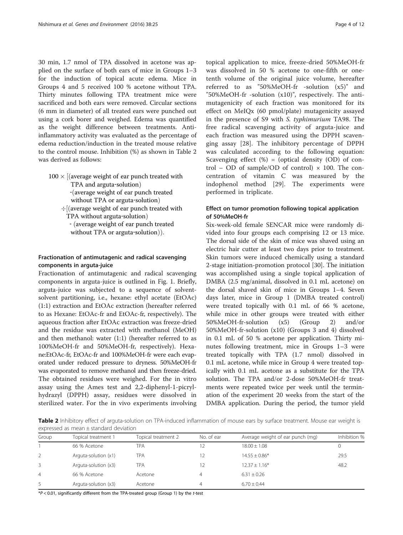<span id="page-3-0"></span>30 min, 1.7 nmol of TPA dissolved in acetone was applied on the surface of both ears of mice in Groups 1–3 for the induction of topical acute edema. Mice in Groups 4 and 5 received 100 % acetone without TPA. Thirty minutes following TPA treatment mice were sacrificed and both ears were removed. Circular sections (6 mm in diameter) of all treated ears were punched out using a cork borer and weighed. Edema was quantified as the weight difference between treatments. Antiinflammatory activity was evaluated as the percentage of edema reduction/induction in the treated mouse relative to the control mouse. Inhibition (%) as shown in Table 2 was derived as follows:

 $100 \times$  [(average weight of ear punch treated with TPA and arguta-solution)

‐ðaverage weight of ear punch treated

without TPA or arguta-solution)

 $\div$  (average weight of ear punch treated with TPA without arguta-solution) - (average weight of ear punch treated

without TPA or arguta-solution)).

## Fractionation of antimutagenic and radical scavenging components in arguta-juice

Fractionation of antimutagenic and radical scavenging components in arguta-juice is outlined in Fig. [1](#page-4-0). Briefly, arguta-juice was subjected to a sequence of solventsolvent partitioning, i.e., hexane: ethyl acetate (EtOAc) (1:1) extraction and EtOAc extraction (hereafter referred to as Hexane: EtOAc-fr and EtOAc-fr, respectively). The aqueous fraction after EtOAc extraction was freeze-dried and the residue was extracted with methanol (MeOH) and then methanol: water (1:1) (hereafter referred to as 100%MeOH-fr and 50%MeOH-fr, respectively). Hexane:EtOAc-fr, EtOAc-fr and 100%MeOH-fr were each evaporated under reduced pressure to dryness. 50%MeOH-fr was evaporated to remove methanol and then freeze-dried. The obtained residues were weighed. For the in vitro assay using the Ames test and 2,2-diphenyl-1-picrylhydrazyl (DPPH) assay, residues were dissolved in sterilized water. For the in vivo experiments involving

topical application to mice, freeze-dried 50%MeOH-fr was dissolved in 50 % acetone to one-fifth or onetenth volume of the original juice volume, hereafter referred to as "50%MeOH-fr -solution (x5)" and "50%MeOH-fr -solution (x10)", respectively. The antimutagenicity of each fraction was monitored for its effect on MeIQx (60 pmol/plate) mutagenicity assayed in the presence of S9 with S. typhimurium TA98. The free radical scavenging activity of arguta-juice and each fraction was measured using the DPPH scavenging assay [\[28](#page-11-0)]. The inhibitory percentage of DPPH was calculated according to the following equation: Scavenging effect  $(\%)$  = (optical density (OD) of control – OD of sample/OD of control)  $\times$  100. The concentration of vitamin C was measured by the indophenol method [[29\]](#page-11-0). The experiments were performed in triplicate.

# Effect on tumor promotion following topical application of 50%MeOH-fr

Six-week-old female SENCAR mice were randomly divided into four groups each comprising 12 or 13 mice. The dorsal side of the skin of mice was shaved using an electric hair cutter at least two days prior to treatment. Skin tumors were induced chemically using a standard 2-stage initiation-promotion protocol [\[30](#page-11-0)]. The initiation was accomplished using a single topical application of DMBA (2.5 mg/animal, dissolved in 0.1 mL acetone) on the dorsal shaved skin of mice in Groups 1–4. Seven days later, mice in Group 1 (DMBA treated control) were treated topically with 0.1 mL of 66 % acetone, while mice in other groups were treated with either 50%MeOH-fr-solution (x5) (Group 2) and/or 50%MeOH-fr-solution (x10) (Groups 3 and 4) dissolved in 0.1 mL of 50 % acetone per application. Thirty minutes following treatment, mice in Groups 1–3 were treated topically with TPA (1.7 nmol) dissolved in 0.1 mL acetone, while mice in Group 4 were treated topically with 0.1 mL acetone as a substitute for the TPA solution. The TPA and/or 2-dose 50%MeOH-fr treatments were repeated twice per week until the termination of the experiment 20 weeks from the start of the DMBA application. During the period, the tumor yield

Table 2 Inhibitory effect of arguta-solution on TPA-induced inflammation of mouse ears by surface treatment. Mouse ear weight is expressed as mean ± standard deviation

| Group          | Topical treatment 1  | Topical treatment 2 | No. of ear | Average weight of ear punch (mg) | Inhibition % |
|----------------|----------------------|---------------------|------------|----------------------------------|--------------|
|                | 66 % Acetone         | TPA                 |            | $18.00 \pm 1.08$                 |              |
|                | Arguta-solution (x1) | TPA                 |            | $14.55 + 0.86*$                  | 29.5         |
| $\overline{3}$ | Arguta-solution (x3) | TPA                 |            | $12.37 + 1.16*$                  | 48.2         |
| 4              | 66 % Acetone         | Acetone             | 4          | $6.31 \pm 0.26$                  |              |
| -5             | Arguta-solution (x3) | Acetone             | 4          | $6.70 + 0.44$                    |              |

 $*P < 0.01$ , significantly different from the TPA-treated group (Group 1) by the t-test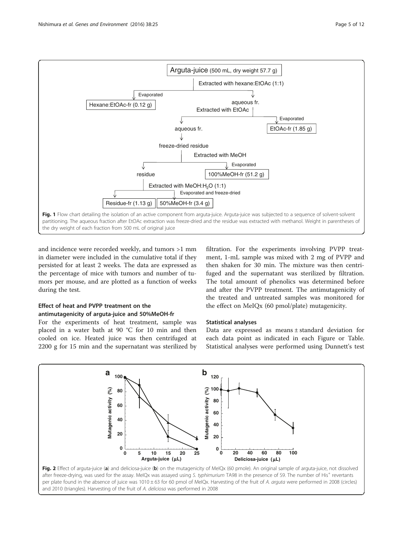<span id="page-4-0"></span>

and incidence were recorded weekly, and tumors >1 mm in diameter were included in the cumulative total if they persisted for at least 2 weeks. The data are expressed as the percentage of mice with tumors and number of tumors per mouse, and are plotted as a function of weeks during the test.

# Effect of heat and PVPP treatment on the antimutagenicity of arguta-juice and 50%MeOH-fr

For the experiments of heat treatment, sample was placed in a water bath at 90 °C for 10 min and then cooled on ice. Heated juice was then centrifuged at 2200 g for 15 min and the supernatant was sterilized by filtration. For the experiments involving PVPP treatment, 1-mL sample was mixed with 2 mg of PVPP and then shaken for 30 min. The mixture was then centrifuged and the supernatant was sterilized by filtration. The total amount of phenolics was determined before and after the PVPP treatment. The antimutagenicity of the treated and untreated samples was monitored for the effect on MeIQx (60 pmol/plate) mutagenicity.

## Statistical analyses

Data are expressed as means ± standard deviation for each data point as indicated in each Figure or Table. Statistical analyses were performed using Dunnett's test

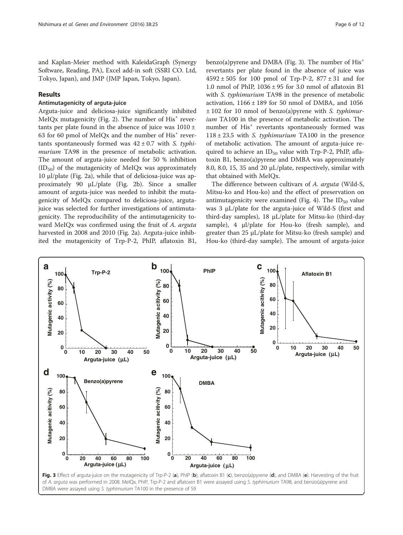<span id="page-5-0"></span>and Kaplan-Meier method with KaleidaGraph (Synergy Software, Reading, PA), Excel add-in soft (SSRI CO. Ltd, Tokyo, Japan), and JMP (JMP Japan, Tokyo, Japan).

## Results

#### Antimutagenicity of arguta-juice

Arguta-juice and deliciosa-juice significantly inhibited MeIOx mutagenicity (Fig. [2\)](#page-4-0). The number of  $His<sup>+</sup>$  revertants per plate found in the absence of juice was  $1010 \pm$ 63 for 60 pmol of MeIQx and the number of  $His<sup>+</sup>$  revertants spontaneously formed was  $42 \pm 0.7$  with S. typhimurium TA98 in the presence of metabolic activation. The amount of arguta-juice needed for 50 % inhibition  $(ID_{50}$  of the mutagenicity of MeIQx was approximately 10 μl/plate (Fig. [2a](#page-4-0)), while that of deliciosa-juice was approximately 90 μL/plate (Fig. [2b\)](#page-4-0). Since a smaller amount of arguta-juice was needed to inhibit the mutagenicity of MeIQx compared to deliciosa-juice, argutajuice was selected for further investigations of antimutagenicity. The reproducibility of the antimutagenicity toward MeIQx was confirmed using the fruit of A. arguta harvested in 2008 and 2010 (Fig. [2a\)](#page-4-0). Arguta-juice inhibited the mutagenicity of Trp-P-2, PhIP, aflatoxin B1,

benzo(a)pyrene and DMBA (Fig. 3). The number of  $His<sup>+</sup>$ revertants per plate found in the absence of juice was  $4592 \pm 505$  for 100 pmol of Trp-P-2,  $877 \pm 31$  and for 1.0 nmol of PhIP,  $1036 \pm 95$  for 3.0 nmol of aflatoxin B1 with S. typhimurium TA98 in the presence of metabolic activation,  $1166 \pm 189$  for 50 nmol of DMBA, and 1056  $\pm$  102 for 10 nmol of benzo(a)pyrene with S. typhimurium TA100 in the presence of metabolic activation. The number of His<sup>+</sup> revertants spontaneously formed was  $118 \pm 23.5$  with S. typhimurium TA100 in the presence of metabolic activation. The amount of arguta-juice required to achieve an  $ID_{50}$  value with Trp-P-2, PhIP, aflatoxin B1, benzo(a)pyrene and DMBA was approximately 8.0, 8.0, 15, 35 and 20 μL/plate, respectively, similar with that obtained with MeIQx.

The difference between cultivars of A. arguta (Wild-S, Mitsu-ko and Hou-ko) and the effect of preservation on antimutagenicity were examined (Fig. [4\)](#page-6-0). The  $ID_{50}$  value was 3 μL/plate for the arguta-juice of Wild-S (first and third-day samples), 18 μL/plate for Mitsu-ko (third-day sample), 4 μl/plate for Hou-ko (fresh sample), and greater than 25 μL/plate for Mitsu-ko (fresh sample) and Hou-ko (third-day sample). The amount of arguta-juice

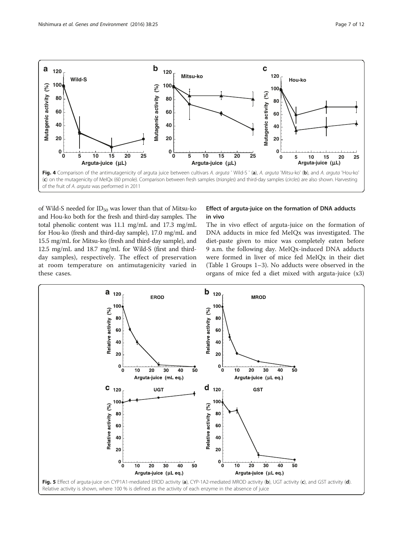<span id="page-6-0"></span>

of Wild-S needed for  $ID_{50}$  was lower than that of Mitsu-ko and Hou-ko both for the fresh and third-day samples. The total phenolic content was 11.1 mg/mL and 17.3 mg/mL for Hou-ko (fresh and third-day sample), 17.0 mg/mL and 15.5 mg/mL for Mitsu-ko (fresh and third-day sample), and 12.5 mg/mL and 18.7 mg/mL for Wild-S (first and thirdday samples), respectively. The effect of preservation at room temperature on antimutagenicity varied in these cases.

## Effect of arguta-juice on the formation of DNA adducts in vivo

The in vivo effect of arguta-juice on the formation of DNA adducts in mice fed MeIQx was investigated. The diet-paste given to mice was completely eaten before 9 a.m. the following day. MeIQx-induced DNA adducts were formed in liver of mice fed MeIQx in their diet (Table [1](#page-2-0) Groups 1–3). No adducts were observed in the organs of mice fed a diet mixed with arguta-juice (x3)

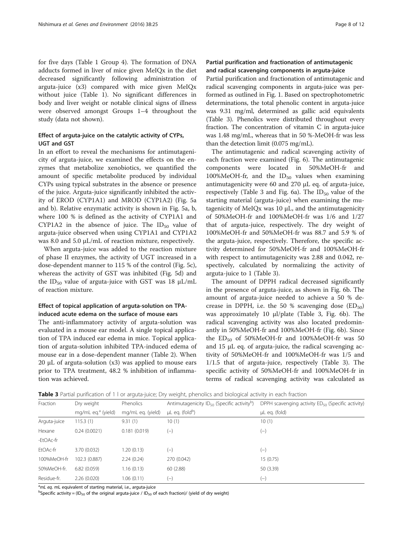<span id="page-7-0"></span>for five days (Table [1](#page-2-0) Group 4). The formation of DNA adducts formed in liver of mice given MeIQx in the diet decreased significantly following administration of arguta-juice (x3) compared with mice given MeIQx without juice (Table [1](#page-2-0)). No significant differences in body and liver weight or notable clinical signs of illness were observed amongst Groups 1–4 throughout the study (data not shown).

## Effect of arguta-juice on the catalytic activity of CYPs, UGT and GST

In an effort to reveal the mechanisms for antimutagenicity of arguta-juice, we examined the effects on the enzymes that metabolize xenobiotics, we quantified the amount of specific metabolite produced by individual CYPs using typical substrates in the absence or presence of the juice. Arguta-juice significantly inhibited the activity of EROD (CYP1A1) and MROD (CYP1A2) (Fig. [5a](#page-6-0) [and b\)](#page-6-0). Relative enzymatic activity is shown in Fig. [5a, b](#page-6-0), where 100 % is defined as the activity of CYP1A1 and CYP1A2 in the absence of juice. The  $ID_{50}$  value of arguta-juice observed when using CYP1A1 and CYP1A2 was 8.0 and 5.0 μL/mL of reaction mixture, respectively.

When arguta-juice was added to the reaction mixture of phase II enzymes, the activity of UGT increased in a dose-dependent manner to 115 % of the control (Fig. [5c](#page-6-0)), whereas the activity of GST was inhibited (Fig. [5d](#page-6-0)) and the ID<sub>50</sub> value of arguta-juice with GST was 18  $\mu$ L/mL of reaction mixture.

## Effect of topical application of arguta-solution on TPAinduced acute edema on the surface of mouse ears

The anti-inflammatory activity of arguta-solution was evaluated in a mouse ear model. A single topical application of TPA induced ear edema in mice. Topical application of arguta-solution inhibited TPA-induced edema of mouse ear in a dose-dependent manner (Table [2](#page-3-0)). When 20  $\mu$ L of arguta-solution (x3) was applied to mouse ears prior to TPA treatment, 48.2 % inhibition of inflammation was achieved.

# Partial purification and fractionation of antimutagenic and radical scavenging components in arguta-juice

Partial purification and fractionation of antimutagenic and radical scavenging components in arguta-juice was performed as outlined in Fig. [1.](#page-4-0) Based on spectrophotometric determinations, the total phenolic content in arguta-juice was 9.31 mg/ml, determined as gallic acid equivalents (Table 3). Phenolics were distributed throughout every fraction. The concentration of vitamin C in arguta-juice was 1.48 mg/mL, whereas that in 50 %-MeOH-fr was less than the detection limit (0.075 mg/mL).

The antimutagenic and radical scavenging activity of each fraction were examined (Fig. [6](#page-8-0)). The antimutagenic components were located in 50%MeOH-fr and 100%MeOH-fr, and the  $ID_{50}$  values when examining antimutagenicity were 60 and 270 μL eq. of arguta-juice, respectively (Table 3 and Fig. [6a](#page-8-0)). The  $ID_{50}$  value of the starting material (arguta-juice) when examining the mutagenicity of MeIQx was 10 μL, and the antimutagenicity of 50%MeOH-fr and 100%MeOH-fr was 1/6 and 1/27 that of arguta-juice, respectively. The dry weight of 100%MeOH-fr and 50%MeOH-fr was 88.7 and 5.9 % of the arguta-juice, respectively. Therefore, the specific activity determined for 50%MeOH-fr and 100%MeOH-fr with respect to antimutagenicity was 2.88 and 0.042, respectively, calculated by normalizing the activity of arguta-juice to 1 (Table 3).

The amount of DPPH radical decreased significantly in the presence of arguta-juice, as shown in Fig. [6b.](#page-8-0) The amount of arguta-juice needed to achieve a 50 % decrease in DPPH, i.e. the 50 % scavenging dose  $(ED_{50})$ was approximately 10 μl/plate (Table 3, Fig. [6b\)](#page-8-0). The radical scavenging activity was also located predominantly in 50%MeOH-fr and 100%MeOH-fr (Fig. [6b\)](#page-8-0). Since the  $ED_{50}$  of 50%MeOH-fr and 100%MeOH-fr was 50 and 15 μL eq. of arguta-juice, the radical scavenging activity of 50%MeOH-fr and 100%MeOH-fr was 1/5 and 1/1.5 that of arguta-juice, respectively (Table 3). The specific activity of 50%MeOH-fr and 100%MeOH-fr in terms of radical scavenging activity was calculated as

Table 3 Partial purification of 1 l or arguta-juice; Dry weight, phenolics and biological activity in each fraction

| Fraction     | Dry weight                     | Phenolics         | Antimutagenicity ID <sub>50</sub> (Specific activity <sup>D</sup> ) | DPPH scavenging activity $ED_{50}$ (Specific activity) |  |
|--------------|--------------------------------|-------------------|---------------------------------------------------------------------|--------------------------------------------------------|--|
|              | mg/mL eq. <sup>a</sup> (yield) | mg/mL eq. (yield) | $\mu$ L eq. (fold <sup>b</sup> )                                    | µL eq. (fold)                                          |  |
| Arguta-juice | 115.3(1)                       | 9.31(1)           | 10(1)                                                               | 10(1)                                                  |  |
| Hexane       | 0.24(0.0021)                   | 0.181(0.019)      | $(-)$                                                               | $(-)$                                                  |  |
| -EtOAc-fr    |                                |                   |                                                                     |                                                        |  |
| EtOAc-fr     | 3.70 (0.032)                   | 1.20 (0.13)       | $(-)$                                                               | $(-)$                                                  |  |
| 100%MeOH-fr  | 102.3 (0.887)                  | 2.24(0.24)        | 270 (0.042)                                                         | 15 (0.75)                                              |  |
| 50%MeOH-fr.  | 6.82(0.059)                    | 1.16(0.13)        | 60(2.88)                                                            | 50 (3.39)                                              |  |
| Residue-fr.  | 2.26(0.020)                    | 1.06(0.11)        | $(-)$                                                               | $(-)$                                                  |  |

 $^{\text{a}}$ mL eq. mL equivalent of starting material, i.e., arguta-juice<br>bSpecific activity – (ID – of the original arguta-juice / ID – o

<sup>b</sup>Specific activity = (ID<sub>50</sub> of the original arguta-juice / ID<sub>50</sub> of each fraction)/ (yield of dry weight)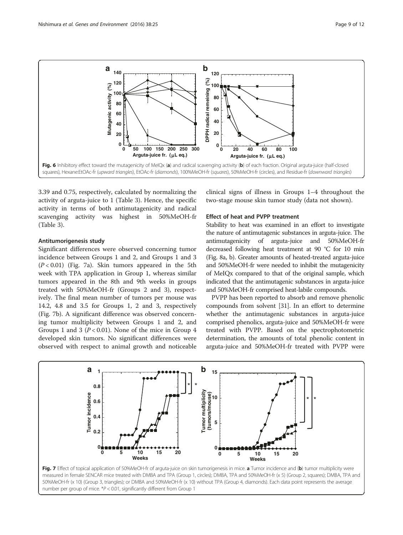<span id="page-8-0"></span>

3.39 and 0.75, respectively, calculated by normalizing the activity of arguta-juice to 1 (Table [3](#page-7-0)). Hence, the specific activity in terms of both antimutagenicity and radical scavenging activity was highest in 50%MeOH-fr (Table [3\)](#page-7-0).

#### Antitumorigenesis study

Significant differences were observed concerning tumor incidence between Groups 1 and 2, and Groups 1 and 3  $(P < 0.01)$  (Fig. 7a). Skin tumors appeared in the 5th week with TPA application in Group 1, whereas similar tumors appeared in the 8th and 9th weeks in groups treated with 50%MeOH-fr (Groups 2 and 3), respectively. The final mean number of tumors per mouse was 14.2, 4.8 and 3.5 for Groups 1, 2 and 3, respectively (Fig. 7b). A significant difference was observed concerning tumor multiplicity between Groups 1 and 2, and Groups 1 and 3 ( $P < 0.01$ ). None of the mice in Group 4 developed skin tumors. No significant differences were observed with respect to animal growth and noticeable clinical signs of illness in Groups 1–4 throughout the two-stage mouse skin tumor study (data not shown).

#### Effect of heat and PVPP treatment

Stability to heat was examined in an effort to investigate the nature of antimutagenic substances in arguta-juice. The antimutagenicity of arguta-juice and 50%MeOH-fr decreased following heat treatment at 90 °C for 10 min (Fig. [8a, b\)](#page-9-0). Greater amounts of heated-treated arguta-juice and 50%MeOH-fr were needed to inhibit the mutagenicity of MeIQx compared to that of the original sample, which indicated that the antimutagenic substances in arguta-juice and 50%MeOH-fr comprised heat-labile compounds.

PVPP has been reported to absorb and remove phenolic compounds from solvent [[31](#page-11-0)]. In an effort to determine whether the antimutagenic substances in arguta-juice comprised phenolics, arguta-juice and 50%MeOH-fr were treated with PVPP. Based on the spectrophotometric determination, the amounts of total phenolic content in arguta-juice and 50%MeOH-fr treated with PVPP were



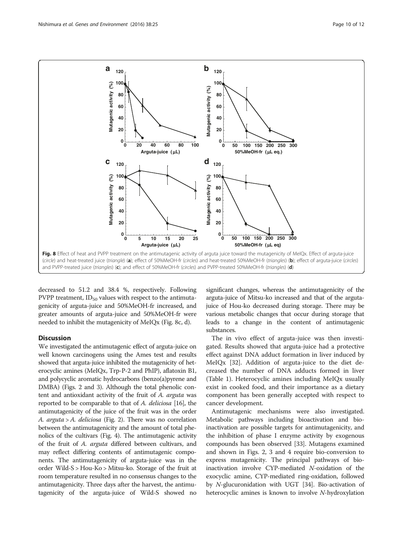<span id="page-9-0"></span>

decreased to 51.2 and 38.4 %, respectively. Following PVPP treatment,  $ID_{50}$  values with respect to the antimutagenicity of arguta-juice and 50%MeOH-fr increased, and greater amounts of arguta-juice and 50%MeOH-fr were needed to inhibit the mutagenicity of MeIQx (Fig. 8c, d).

## **Discussion**

We investigated the antimutagenic effect of arguta-juice on well known carcinogens using the Ames test and results showed that arguta-juice inhibited the mutagenicity of heterocyclic amines (MeIQx, Trp-P-2 and PhIP), aflatoxin B1, and polycyclic aromatic hydrocarbons (benzo(a)pyrene and DMBA) (Figs. [2](#page-4-0) and [3\)](#page-5-0). Although the total phenolic content and antioxidant activity of the fruit of A. arguta was reported to be comparable to that of A. deliciosa [\[16\]](#page-11-0), the antimutagenicity of the juice of the fruit was in the order A. arguta > A. deliciosa (Fig. [2\)](#page-4-0). There was no correlation between the antimutagenicity and the amount of total phenolics of the cultivars (Fig. [4\)](#page-6-0). The antimutagenic activity of the fruit of A. arguta differed between cultivars, and may reflect differing contents of antimutagenic components. The antimutagenicity of arguta-juice was in the order Wild-S > Hou-Ko > Mitsu-ko. Storage of the fruit at room temperature resulted in no consensus changes to the antimutagenicity. Three days after the harvest, the antimutagenicity of the arguta-juice of Wild-S showed no

significant changes, whereas the antimutagenicity of the arguta-juice of Mitsu-ko increased and that of the argutajuice of Hou-ko decreased during storage. There may be various metabolic changes that occur during storage that leads to a change in the content of antimutagenic substances.

The in vivo effect of arguta-juice was then investigated. Results showed that arguta-juice had a protective effect against DNA adduct formation in liver induced by MeIQx [[32](#page-11-0)]. Addition of arguta-juice to the diet decreased the number of DNA adducts formed in liver (Table [1\)](#page-2-0). Heterocyclic amines including MeIQx usually exist in cooked food, and their importance as a dietary component has been generally accepted with respect to cancer development.

Antimutagenic mechanisms were also investigated. Metabolic pathways including bioactivation and bioinactivation are possible targets for antimutagenicity, and the inhibition of phase I enzyme activity by exogenous compounds has been observed [[33\]](#page-11-0). Mutagens examined and shown in Figs. [2,](#page-4-0) [3](#page-5-0) and [4](#page-6-0) require bio-conversion to express mutagenicity. The principal pathways of bioinactivation involve CYP-mediated N-oxidation of the exocyclic amine, CYP-mediated ring-oxidation, followed by N-glucuronidation with UGT [\[34\]](#page-11-0). Bio-activation of heterocyclic amines is known to involve N-hydroxylation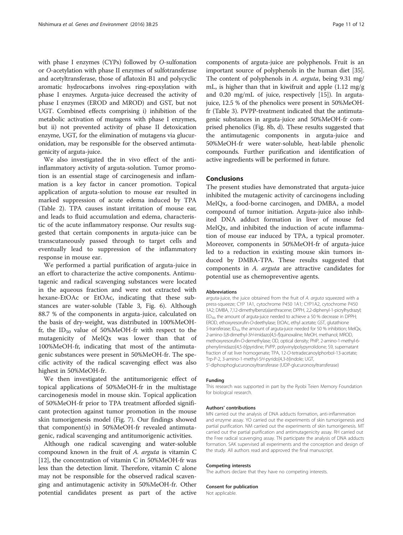with phase I enzymes (CYPs) followed by O-sulfonation or O-acetylation with phase II enzymes of sulfotransferase and acetyltransferase, those of aflatoxin B1 and polycyclic aromatic hydrocarbons involves ring-epoxylation with phase I enzymes. Arguta-juice decreased the activity of phase I enzymes (EROD and MROD) and GST, but not UGT. Combined effects comprising i) inhibition of the metabolic activation of mutagens with phase I enzymes, but ii) not prevented activity of phase II detoxication enzyme, UGT, for the elimination of mutagens via glucuronidation, may be responsible for the observed antimutagenicity of arguta-juice.

We also investigated the in vivo effect of the antiinflammatory activity of arguta-solution. Tumor promotion is an essential stage of carcinogenesis and inflammation is a key factor in cancer promotion. Topical application of arguta-solution to mouse ear resulted in marked suppression of acute edema induced by TPA (Table [2](#page-3-0)). TPA causes instant irritation of mouse ear, and leads to fluid accumulation and edema, characteristic of the acute inflammatory response. Our results suggested that certain components in arguta-juice can be transcutaneously passed through to target cells and eventually lead to suppression of the inflammatory response in mouse ear.

We performed a partial purification of arguta-juice in an effort to characterize the active components. Antimutagenic and radical scavenging substances were located in the aqueous fraction and were not extracted with hexane-EtOAc or EtOAc, indicating that these substances are water-soluble (Table [3](#page-7-0), Fig. [6\)](#page-8-0). Although 88.7 % of the components in arguta-juice, calculated on the basis of dry-weight, was distributed in 100%MeOHfr, the  $ID_{50}$  value of 50%MeOH-fr with respect to the mutagenicity of MeIQx was lower than that of 100%MeOH-fr, indicating that most of the antimutagenic substances were present in 50%MeOH-fr. The specific activity of the radical scavenging effect was also highest in 50%MeOH-fr.

We then investigated the antitumorigenic effect of topical applications of 50%MeOH-fr in the multistage carcinogenesis model in mouse skin. Topical application of 50%MeOH-fr prior to TPA treatment afforded significant protection against tumor promotion in the mouse skin tumorigenesis model (Fig. [7\)](#page-8-0). Our findings showed that component(s) in 50%MeOH-fr revealed antimutagenic, radical scavenging and antitumorigenic activities.

Although one radical scavenging and water-soluble compound known in the fruit of A. arguta is vitamin C [[12](#page-11-0)], the concentration of vitamin C in 50%MeOH-fr was less than the detection limit. Therefore, vitamin C alone may not be responsible for the observed radical scavenging and antimutagenic activity in 50%MeOH-fr. Other potential candidates present as part of the active

components of arguta-juice are polyphenols. Fruit is an important source of polyphenols in the human diet [[35](#page-11-0)]. The content of polyphenols in A. arguta, being 9.31 mg/ mL, is higher than that in kiwifruit and apple (1.12 mg/g and 0.20 mg/mL of juice, respectively [[15](#page-11-0)]). In argutajuice, 12.5 % of the phenolics were present in 50%MeOHfr (Table [3](#page-7-0)). PVPP-treatment indicated that the antimutagenic substances in arguta-juice and 50%MeOH-fr comprised phenolics (Fig. [8b, d](#page-9-0)). These results suggested that the antimutagenic components in arguta-juice and 50%MeOH-fr were water-soluble, heat-labile phenolic compounds. Further purification and identification of active ingredients will be performed in future.

## Conclusions

The present studies have demonstrated that arguta-juice inhibited the mutagenic activity of carcinogens including MeIQx, a food-borne carcinogen, and DMBA, a model compound of tumor initiation. Arguta-juice also inhibited DNA adduct formation in liver of mouse fed MeIQx, and inhibited the induction of acute inflammation of mouse ear induced by TPA, a typical promoter. Moreover, components in 50%MeOH-fr of arguta-juice led to a reduction in existing mouse skin tumors induced by DMBA-TPA. These results suggested that components in A. arguta are attractive candidates for potential use as chemopreventive agents.

#### Abbreviations

arguta-juice, the juice obtained from the fruit of A. arguta squeezed with a press-squeeze; CYP 1A1, cytochrome P450 1A1; CYP1A2, cytochrome P450 1A2; DMBA, 7,12-dimethylbenz(a)anthracene; DPPH, 2,2-diphenyl-1-picrylhydrazyl;  $ED_{50}$ , the amount of arguta-juice needed to achieve a 50 % decrease in DPPH; EROD, ethoxyresorufin-O-deethylase; EtOAc, ethyl acetate; GST, glutathione S-transferase; ID<sub>50</sub>, the amount of arguta-juice needed for 50 % inhibition; MeIQx, 2-amino-3,8-dimethyl-3H-imidazo[4,5-f]quinoxaline; MeOH, methanol; MROD, methoxyresorufin-O-demethylase; OD, optical density; PhIP, 2-amino-1-methyl-6 phenylimidazo[4,5-b]pyridine; PVPP, polyvinylpolypyrrolidone; S9, supernatant fraction of rat liver homogenate; TPA, 12-O-tetradecanoylphorbol-13-acetate; Trp-P-2, 3-amino-1-methyl-5H-pyrido[4,3-b]indole; UGT, 5'-diphosphoglucuronosyltransferase (UDP-glucuronosyltransferase)

#### Funding

This research was supported in part by the Ryobi Teien Memory Foundation for biological research.

#### Authors' contributions

MN carried out the analysis of DNA adducts formation, anti-inflammation and enzyme assay. YO carried out the experiments of skin tumorigenesis and partial purification. NM carried out the experiments of skin tumorigenesis. MT carried out the partial purification and antimutagenicity assay. RH carried out the Free radical scavenging assay. TN participate the analysis of DNA adducts formation. SAK supervised all experiments and the conception and design of the study. All authors read and approved the final manuscript.

#### Competing interests

The authors declare that they have no competing interests.

#### Consent for publication

Not applicable.